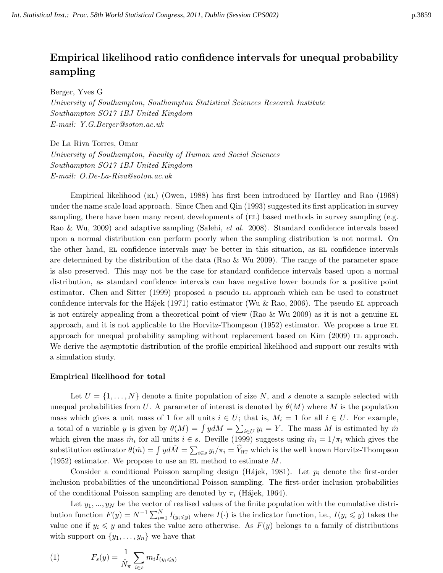# Empirical likelihood ratio confidence intervals for unequal probability sampling

Berger, Yves G

University of Southampton, Southampton Statistical Sciences Research Institute Southampton SO17 1BJ United Kingdom E-mail: Y.G.Berger@soton.ac.uk

De La Riva Torres, Omar University of Southampton, Faculty of Human and Social Sciences Southampton SO17 1BJ United Kingdom E-mail: O.De-La-Riva@soton.ac.uk

Empirical likelihood (EL) (Owen, 1988) has first been introduced by Hartley and Rao (1968) under the name scale load approach. Since Chen and Qin (1993) suggested its first application in survey sampling, there have been many recent developments of (EL) based methods in survey sampling (e.g. Rao & Wu, 2009) and adaptive sampling (Salehi, et al. 2008). Standard confidence intervals based upon a normal distribution can perform poorly when the sampling distribution is not normal. On the other hand, EL confidence intervals may be better in this situation, as EL confidence intervals are determined by the distribution of the data (Rao & Wu 2009). The range of the parameter space is also preserved. This may not be the case for standard confidence intervals based upon a normal distribution, as standard confidence intervals can have negative lower bounds for a positive point estimator. Chen and Sitter (1999) proposed a pseudo EL approach which can be used to construct confidence intervals for the H $\acute{a}$ jek (1971) ratio estimator (Wu & Rao, 2006). The pseudo EL approach is not entirely appealing from a theoretical point of view (Rao  $&$  Wu 2009) as it is not a genuine EL approach, and it is not applicable to the Horvitz-Thompson (1952) estimator. We propose a true el approach for unequal probability sampling without replacement based on Kim (2009) EL approach. We derive the asymptotic distribution of the profile empirical likelihood and support our results with a simulation study.

### Empirical likelihood for total

Let  $U = \{1, \ldots, N\}$  denote a finite population of size N, and s denote a sample selected with unequal probabilities from U. A parameter of interest is denoted by  $\theta(M)$  where M is the population mass which gives a unit mass of 1 for all units  $i \in U$ ; that is,  $M_i = 1$  for all  $i \in U$ . For example, a total of a variable y is given by  $\theta(M) = \int y dM = \sum_{i \in U} y_i = Y$ . The mass M is estimated by  $\hat{m}$ which given the mass  $\hat{m}_i$  for all units  $i \in s$ . Deville (1999) suggests using  $\hat{m}_i = 1/\pi_i$  which gives the substitution estimator  $\theta(\hat{m}) = \int y d\hat{M} = \sum_{i \in s} y_i/\pi_i = \hat{Y}_{\text{HT}}$  which is the well known Horvitz-Thompson (1952) estimator. We propose to use an EL method to estimate  $M$ .

Consider a conditional Poisson sampling design (Hájek, 1981). Let  $p_i$  denote the first-order inclusion probabilities of the unconditional Poisson sampling. The first-order inclusion probabilities of the conditional Poisson sampling are denoted by  $\pi_i$  (Hájek, 1964).

Let  $y_1, \ldots, y_N$  be the vector of realised values of the finite population with the cumulative distribution function  $F(y) = N^{-1} \sum_{i=1}^{N} I_{(y_i \leq y)}$  where  $I(\cdot)$  is the indicator function, i.e.,  $I(y_i \leq y)$  takes the value one if  $y_i \leq y$  and takes the value zero otherwise. As  $F(y)$  belongs to a family of distributions with support on  $\{y_1, \ldots, y_n\}$  we have that

<span id="page-0-0"></span>(1) 
$$
F_s(y) = \frac{1}{\hat{N}_\pi} \sum_{i \in s} m_i I_{(y_i \leq y)}
$$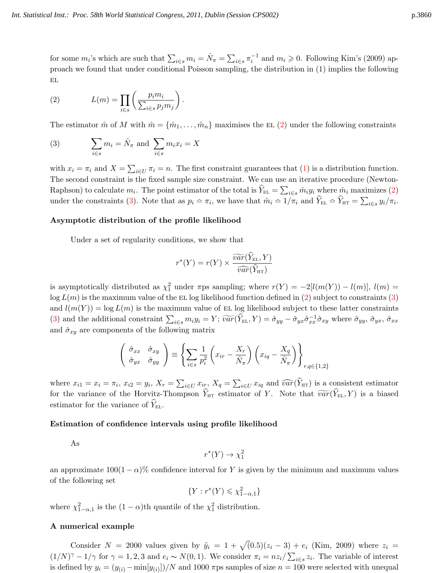<span id="page-1-0"></span>for some  $m_i$ 's which are such that  $\sum_{i \in s} m_i = \hat{N}_{\pi} = \sum_{i \in s} \pi_i^{-1}$  and  $m_i \geqslant 0$ . Following Kim's (2009) approach we found that under conditional Poisson sampling, the distribution in (1) implies the following  $\mathbf{EL}$ 

(2) 
$$
L(m) = \prod_{i \in s} \left( \frac{p_i m_i}{\sum_{i \in s} p_j m_j} \right).
$$

The estimator  $\hat{m}$  of M with  $\hat{m} = {\hat{m}_1, \dots, \hat{m}_n}$  maximises the EL [\(2\)](#page-1-0) under the following constraints

(3) 
$$
\sum_{i \in s} m_i = \hat{N}_{\pi} \text{ and } \sum_{i \in s} m_i x_i = X
$$

with  $x_i = \pi_i$  and  $X = \sum_{i \in U} \pi_i = n$ . The first constraint guarantees that [\(1\)](#page-0-0) is a distribution function. The second constraint is the fixed sample size constraint. We can use an iterative procedure (Newton-Raphson) to calculate  $m_i$ . The point estimator of the total is  $\hat{Y}_{EL} = \sum_{i \in s} \hat{m}_i y_i$  where  $\hat{m}_i$  maximizes [\(2\)](#page-1-0) under the constraints [\(3\)](#page-1-1). Note that as  $p_i \approx \pi_i$ , we have that  $\hat{m}_i \approx 1/\pi_i$  and  $\hat{Y}_{\text{EL}} \approx \hat{Y}_{\text{HT}} = \sum_{i \in s} y_i / \pi_i$ .

#### Asymptotic distribution of the profile likelihood

Under a set of regularity conditions, we show that

<span id="page-1-1"></span>
$$
r^*(Y) = r(Y) \times \frac{\widetilde{var}(\widehat{Y}_{\text{EL}}, Y)}{\widehat{var}(\widehat{Y}_{\text{HT}})}
$$

is asymptotically distributed as  $\chi_1^2$  under  $\pi$ ps sampling; where  $r(Y) = -2[l(m(Y)) - l(m)]$ ,  $l(m) =$  $log L(m)$  is the maximum value of the EL log likelihood function defined in [\(2\)](#page-1-0) subject to constraints [\(3\)](#page-1-1) and  $l(m(Y)) = \log L(m)$  is the maximum value of EL log likelihood subject to these latter constraints [\(3\)](#page-1-1) and the additional constraint  $\sum_{i\in s} m_i y_i = Y$ ;  $\widetilde{var}(\widehat{Y}_{\text{EL}}, Y) = \hat{\sigma}_{yy} - \hat{\sigma}_{yx} \hat{\sigma}_{xx}^{-1} \hat{\sigma}_{xy}$  where  $\hat{\sigma}_{yy}$ ,  $\hat{\sigma}_{xx}$ ,  $\hat{\sigma}_{xx}$ and  $\hat{\sigma}_{xy}$  are components of the following matrix

$$
\begin{pmatrix}\n\hat{\sigma}_{xx} & \hat{\sigma}_{xy} \\
\hat{\sigma}_{yx} & \hat{\sigma}_{yy}\n\end{pmatrix} \equiv \left\{ \sum_{i \in s} \frac{1}{p_i^2} \left( x_{ir} - \frac{X_r}{\hat{N}_\pi} \right) \left( x_{iq} - \frac{X_q}{\hat{N}_\pi} \right) \right\}_{r, q \in \{1, 2\}}
$$

where  $x_{i1} = x_i = \pi_i$ ,  $x_{i2} = y_i$ ,  $X_r = \sum_{i \in U} x_{ir}$ ,  $X_q = \sum_{i \in U} x_{iq}$  and  $\widehat{var}(Y_{\text{HT}})$  is a consistent estimator for the variance of the Horvitz-Thompson  $\widehat{Y}_{\text{HT}}$  estimator of Y. Note that  $\widetilde{var}(\widehat{Y}_{\text{EL}}, Y)$  is a biased estimator for the variance of  $Y_{\text{EL}}$ .

### Estimation of confidence intervals using profile likelihood

As

$$
r^*(Y) \to \chi_1^2
$$

an approximate  $100(1-\alpha)$ % confidence interval for Y is given by the minimum and maximum values of the following set

$$
\{Y : r^*(Y) \leq \chi^2_{1-\alpha,1}\}
$$

where  $\chi^2_{1-\alpha,1}$  is the  $(1-\alpha)$ th quantile of the  $\chi^2_1$  distribution.

### A numerical example

Consider  $N = 2000$  values given by  $\tilde{y}_i = 1 + \sqrt{(0.5)(z_i - 3)} + e_i$  (Kim, 2009) where  $z_i =$  $(1/N)^{\gamma} - 1/\gamma$  for  $\gamma = 1, 2, 3$  and  $e_i \sim N(0, 1)$ . We consider  $\pi_i = nz_i / \sum_{i \in s} z_i$ . The variable of interest is defined by  $y_i = (y_{(i)} - \min[y_{(i)}])/N$  and 1000  $\pi$ ps samples of size  $n = 100$  were selected with unequal